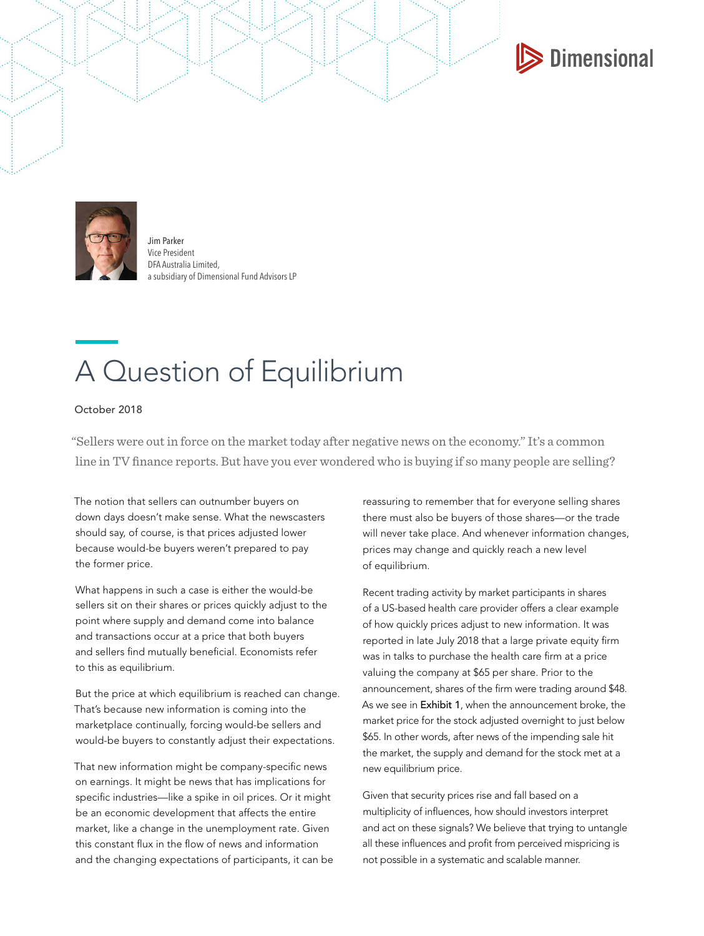



Jim Parker Vice President DFA Australia Limited, a subsidiary of Dimensional Fund Advisors LP

## A Question of Equilibrium

October 2018

"Sellers were out in force on the market today after negative news on the economy." It's a common line in TV finance reports. But have you ever wondered who is buying if so many people are selling?

The notion that sellers can outnumber buyers on down days doesn't make sense. What the newscasters should say, of course, is that prices adjusted lower because would-be buyers weren't prepared to pay the former price.

What happens in such a case is either the would-be sellers sit on their shares or prices quickly adjust to the point where supply and demand come into balance and transactions occur at a price that both buyers and sellers find mutually beneficial. Economists refer to this as equilibrium.

But the price at which equilibrium is reached can change. That's because new information is coming into the marketplace continually, forcing would-be sellers and would-be buyers to constantly adjust their expectations.

That new information might be company-specific news on earnings. It might be news that has implications for specific industries—like a spike in oil prices. Or it might be an economic development that affects the entire market, like a change in the unemployment rate. Given this constant flux in the flow of news and information and the changing expectations of participants, it can be

reassuring to remember that for everyone selling shares there must also be buyers of those shares—or the trade will never take place. And whenever information changes, prices may change and quickly reach a new level of equilibrium.

Recent trading activity by market participants in shares of a US-based health care provider offers a clear example of how quickly prices adjust to new information. It was reported in late July 2018 that a large private equity firm was in talks to purchase the health care firm at a price valuing the company at \$65 per share. Prior to the announcement, shares of the firm were trading around \$48. As we see in Exhibit 1, when the announcement broke, the market price for the stock adjusted overnight to just below \$65. In other words, after news of the impending sale hit the market, the supply and demand for the stock met at a new equilibrium price.

Given that security prices rise and fall based on a multiplicity of influences, how should investors interpret and act on these signals? We believe that trying to untangle all these influences and profit from perceived mispricing is not possible in a systematic and scalable manner.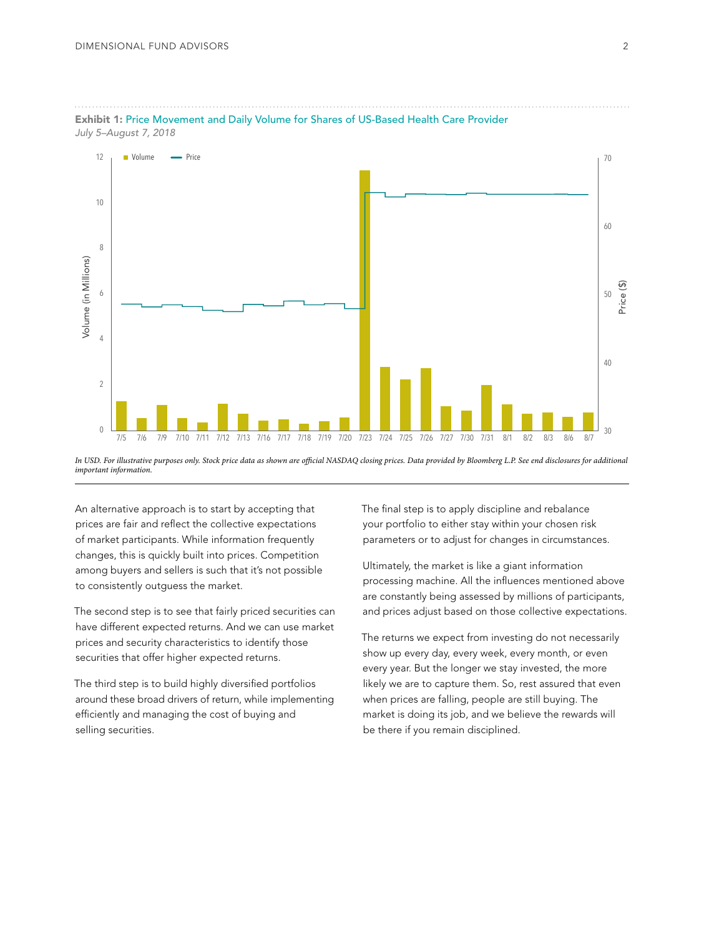

Exhibit 1: Price Movement and Daily Volume for Shares of US-Based Health Care Provider *July 5–August 7, 2018* 

An alternative approach is to start by accepting that prices are fair and reflect the collective expectations of market participants. While information frequently changes, this is quickly built into prices. Competition among buyers and sellers is such that it's not possible to consistently outguess the market.

The second step is to see that fairly priced securities can have different expected returns. And we can use market prices and security characteristics to identify those securities that offer higher expected returns.

The third step is to build highly diversified portfolios around these broad drivers of return, while implementing efficiently and managing the cost of buying and selling securities.

The final step is to apply discipline and rebalance your portfolio to either stay within your chosen risk parameters or to adjust for changes in circumstances.

Ultimately, the market is like a giant information processing machine. All the influences mentioned above are constantly being assessed by millions of participants, and prices adjust based on those collective expectations.

The returns we expect from investing do not necessarily show up every day, every week, every month, or even every year. But the longer we stay invested, the more likely we are to capture them. So, rest assured that even when prices are falling, people are still buying. The market is doing its job, and we believe the rewards will be there if you remain disciplined.

*In USD. For illustrative purposes only. Stock price data as shown are official NASDAQ closing prices. Data provided by Bloomberg L.P. See end disclosures for additional important information.*